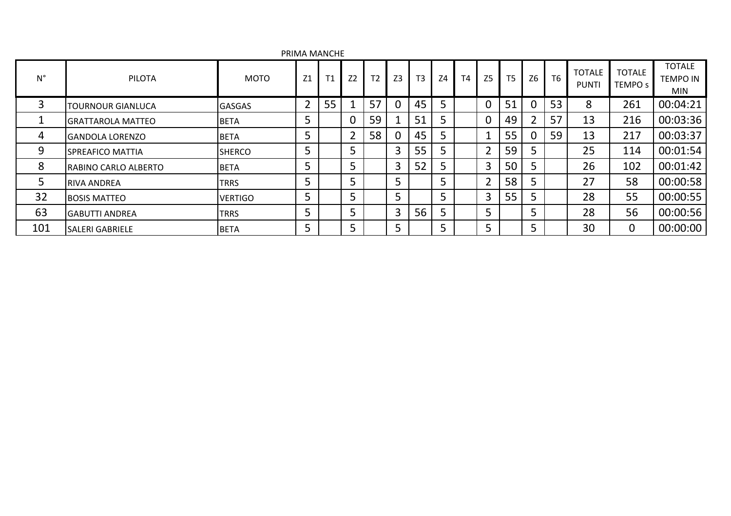| PRIMA MANCHE   |                          |                |    |    |                |    |                |                |    |           |                |                |                |                |                               |                                     |                                                |
|----------------|--------------------------|----------------|----|----|----------------|----|----------------|----------------|----|-----------|----------------|----------------|----------------|----------------|-------------------------------|-------------------------------------|------------------------------------------------|
| $N^{\circ}$    | PILOTA                   | <b>MOTO</b>    | Z1 | T1 | Z <sub>2</sub> | T2 | Z <sub>3</sub> | T <sub>3</sub> | Z4 | <b>T4</b> | Z <sub>5</sub> | T <sub>5</sub> | Z <sub>6</sub> | T <sub>6</sub> | <b>TOTALE</b><br><b>PUNTI</b> | <b>TOTALE</b><br>TEMPO <sub>s</sub> | <b>TOTALE</b><br><b>TEMPO IN</b><br><b>MIN</b> |
| $\overline{3}$ | <b>TOURNOUR GIANLUCA</b> | <b>GASGAS</b>  | 2  | 55 |                | 57 |                | 45             | 5  |           | 0              | 51             | $\mathbf 0$    | 53             | 8                             | 261                                 | 00:04:21                                       |
|                | <b>GRATTAROLA MATTEO</b> | <b>BETA</b>    | 5  |    | $\overline{0}$ | 59 |                | 51             | 5  |           | 0              | 49             |                | 57             | 13                            | 216                                 | 00:03:36                                       |
| 4              | <b>GANDOLA LORENZO</b>   | <b>BETA</b>    | 5  |    | $\overline{2}$ | 58 |                | 45             | 5  |           |                | 55             | $\mathbf{0}$   | 59             | 13                            | 217                                 | 00:03:37                                       |
| 9              | <b>SPREAFICO MATTIA</b>  | <b>SHERCO</b>  | 5  |    | 5              |    | 3              | 55             | 5  |           | $\overline{2}$ | 59             | 5              |                | 25                            | 114                                 | 00:01:54                                       |
| 8              | RABINO CARLO ALBERTO     | <b>BETA</b>    | 5  |    | 5              |    | 3              | 52             | 5  |           | 3              | 50             | 5              |                | 26                            | 102                                 | 00:01:42                                       |
| 5              | <b>RIVA ANDREA</b>       | <b>TRRS</b>    | 5  |    | 5              |    | 5              |                | 5  |           | $\overline{2}$ | 58             | 5              |                | 27                            | 58                                  | 00:00:58                                       |
| 32             | <b>BOSIS MATTEO</b>      | <b>VERTIGO</b> | 5  |    | 5              |    | 5              |                | 5  |           | 3              | 55             | 5              |                | 28                            | 55                                  | 00:00:55                                       |
| 63             | <b>GABUTTI ANDREA</b>    | <b>TRRS</b>    | 5  |    | 5              |    | 3              | 56             | 5  |           | 5              |                | 5              |                | 28                            | 56                                  | 00:00:56                                       |
| 101            | <b>SALERI GABRIELE</b>   | <b>BETA</b>    | Э  |    | 5              |    | 5              |                | 5  |           | 5              |                | 5              |                | 30                            | $\mathbf 0$                         | 00:00:00                                       |